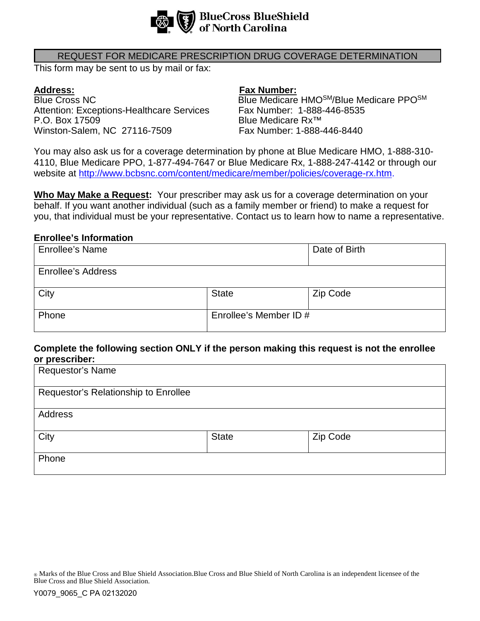

### REQUEST FOR MEDICARE PRESCRIPTION DRUG COVERAGE DETERMINATION

This form may be sent to us by mail or fax:

**Address: Address: Fax Number: Fax Number: Fax Number: Fax Number: Blue Medicare** Attention: Exceptions-Healthcare Services Fax Number: 1-888-446-8535<br>P.O. Box 17509 F.O. Box 17509 Winston-Salem, NC 27116-7509

Blue Medicare HMOSM/Blue Medicare PPOSM Blue Medicare Rx™<br>Fax Number: 1-888-446-8440

You may also ask us for a coverage determination by phone at Blue Medicare HMO, 1-888-310- 4110, Blue Medicare PPO, 1-877-494-7647 or Blue Medicare Rx, 1-888-247-4142 or through our website at [http://www.bcbsnc.com/content/medicare/member/policies/coverage-rx.htm.](http://www.bcbsnc.com/content/medicare/member/policies/coverage-rx.htm)

**Who May Make a Request:** Your prescriber may ask us for a coverage determination on your behalf. If you want another individual (such as a family member or friend) to make a request for you, that individual must be your representative. Contact us to learn how to name a representative.

### **Enrollee's Information**

| <b>Enrollee's Name</b>    |                        | Date of Birth |
|---------------------------|------------------------|---------------|
| <b>Enrollee's Address</b> |                        |               |
| City                      | <b>State</b>           | Zip Code      |
| Phone                     | Enrollee's Member ID # |               |

## **Complete the following section ONLY if the person making this request is not the enrollee or prescriber:**

| .                                    |              |          |  |
|--------------------------------------|--------------|----------|--|
| Requestor's Name                     |              |          |  |
|                                      |              |          |  |
| Requestor's Relationship to Enrollee |              |          |  |
|                                      |              |          |  |
| Address                              |              |          |  |
|                                      |              |          |  |
| City                                 | <b>State</b> | Zip Code |  |
|                                      |              |          |  |
| Phone                                |              |          |  |
|                                      |              |          |  |

® Marks of the Blue Cross and Blue Shield Association.Blue Cross and Blue Shield of North Carolina is an independent licensee of the Blue Cross and Blue Shield Association.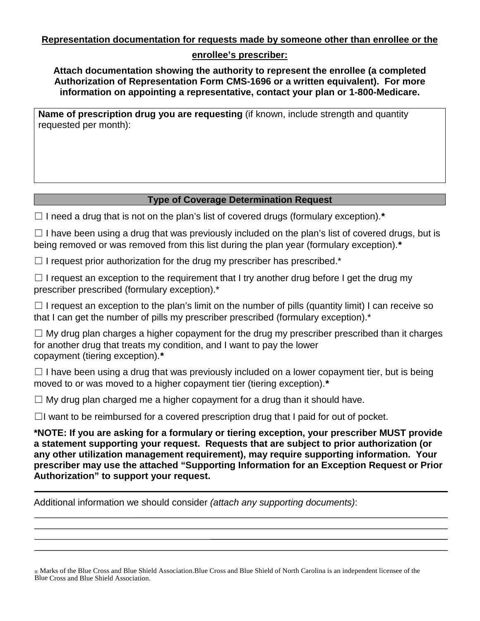**Representation documentation for requests made by someone other than enrollee or the** 

# **enrollee's prescriber:**

**Attach documentation showing the authority to represent the enrollee (a completed Authorization of Representation Form CMS-1696 or a written equivalent). For more information on appointing a representative, contact your plan or 1-800-Medicare.**

**Name of prescription drug you are requesting** (if known, include strength and quantity requested per month):

# **Type of Coverage Determination Request**

☐ I need a drug that is not on the plan's list of covered drugs (formulary exception).*\**

 $\Box$  I have been using a drug that was previously included on the plan's list of covered drugs, but is being removed or was removed from this list during the plan year (formulary exception).*\**

 $\Box$  I request prior authorization for the drug my prescriber has prescribed.\*

 $\Box$  I request an exception to the requirement that I try another drug before I get the drug my prescriber prescribed (formulary exception).\*

 $\Box$  I request an exception to the plan's limit on the number of pills (quantity limit) I can receive so that I can get the number of pills my prescriber prescribed (formulary exception).<sup>\*</sup>

 $\Box$  My drug plan charges a higher copayment for the drug my prescriber prescribed than it charges for another drug that treats my condition, and I want to pay the lower copayment (tiering exception).*\**

 $\Box$  I have been using a drug that was previously included on a lower copayment tier, but is being moved to or was moved to a higher copayment tier (tiering exception).*\**

 $\Box$  My drug plan charged me a higher copayment for a drug than it should have.

 $\Box$ I want to be reimbursed for a covered prescription drug that I paid for out of pocket.

**\*NOTE: If you are asking for a formulary or tiering exception, your prescriber MUST provide a statement supporting your request. Requests that are subject to prior authorization (or any other utilization management requirement), may require supporting information. Your prescriber may use the attached "Supporting Information for an Exception Request or Prior Authorization" to support your request.**

Additional information we should consider *(attach any supporting documents)*:

® Marks of the Blue Cross and Blue Shield Association.Blue Cross and Blue Shield of North Carolina is an independent licensee of the Blue Cross and Blue Shield Association.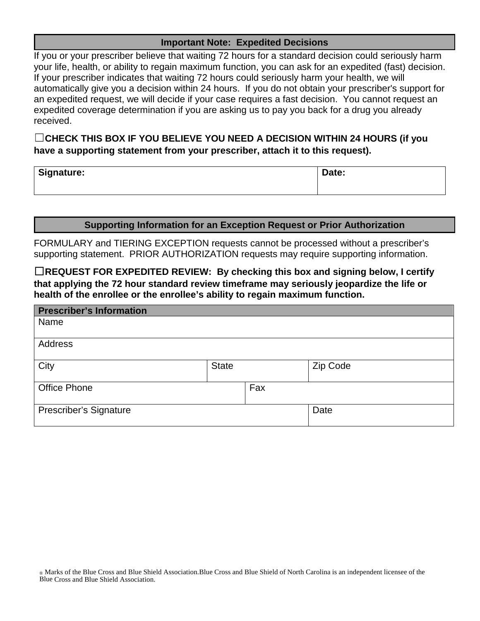## **Important Note: Expedited Decisions**

If you or your prescriber believe that waiting 72 hours for a standard decision could seriously harm your life, health, or ability to regain maximum function, you can ask for an expedited (fast) decision. If your prescriber indicates that waiting 72 hours could seriously harm your health, we will automatically give you a decision within 24 hours. If you do not obtain your prescriber's support for an expedited request, we will decide if your case requires a fast decision. You cannot request an expedited coverage determination if you are asking us to pay you back for a drug you already received.

☐**CHECK THIS BOX IF YOU BELIEVE YOU NEED A DECISION WITHIN 24 HOURS (if you have a supporting statement from your prescriber, attach it to this request).**

| Signature: | Date: |
|------------|-------|
|------------|-------|

## **Supporting Information for an Exception Request or Prior Authorization**

FORMULARY and TIERING EXCEPTION requests cannot be processed without a prescriber's supporting statement. PRIOR AUTHORIZATION requests may require supporting information.

☐**REQUEST FOR EXPEDITED REVIEW: By checking this box and signing below, I certify that applying the 72 hour standard review timeframe may seriously jeopardize the life or health of the enrollee or the enrollee's ability to regain maximum function.**

| <b>Prescriber's Information</b> |              |     |          |
|---------------------------------|--------------|-----|----------|
| Name                            |              |     |          |
| Address                         |              |     |          |
| City                            | <b>State</b> |     | Zip Code |
| <b>Office Phone</b>             |              | Fax |          |
| Prescriber's Signature          |              |     | Date     |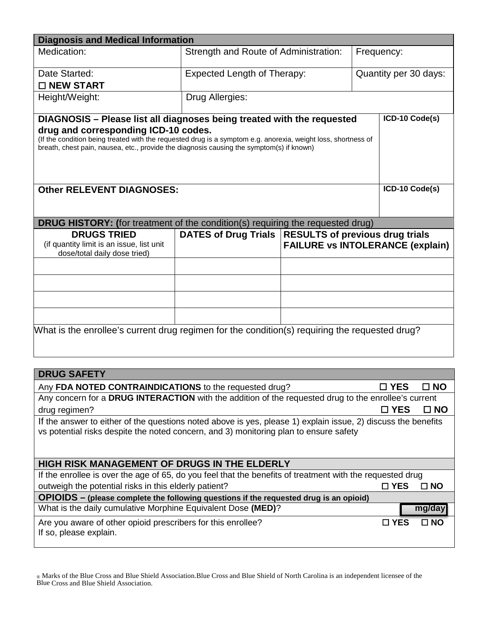| <b>Diagnosis and Medical Information</b>                                                                                                                                                                                                                                                                                                      |                                                        |                                         |              |                       |              |
|-----------------------------------------------------------------------------------------------------------------------------------------------------------------------------------------------------------------------------------------------------------------------------------------------------------------------------------------------|--------------------------------------------------------|-----------------------------------------|--------------|-----------------------|--------------|
| Medication:                                                                                                                                                                                                                                                                                                                                   | Strength and Route of Administration:<br>Frequency:    |                                         |              |                       |              |
|                                                                                                                                                                                                                                                                                                                                               |                                                        |                                         |              |                       |              |
| Date Started:                                                                                                                                                                                                                                                                                                                                 | <b>Expected Length of Therapy:</b>                     |                                         |              | Quantity per 30 days: |              |
| □ NEW START                                                                                                                                                                                                                                                                                                                                   |                                                        |                                         |              |                       |              |
| Height/Weight:                                                                                                                                                                                                                                                                                                                                | Drug Allergies:                                        |                                         |              |                       |              |
| ICD-10 Code(s)<br>DIAGNOSIS - Please list all diagnoses being treated with the requested<br>drug and corresponding ICD-10 codes.<br>(If the condition being treated with the requested drug is a symptom e.g. anorexia, weight loss, shortness of<br>breath, chest pain, nausea, etc., provide the diagnosis causing the symptom(s) if known) |                                                        |                                         |              |                       |              |
| ICD-10 Code(s)<br><b>Other RELEVENT DIAGNOSES:</b>                                                                                                                                                                                                                                                                                            |                                                        |                                         |              |                       |              |
| <b>DRUG HISTORY:</b> (for treatment of the condition(s) requiring the requested drug)                                                                                                                                                                                                                                                         |                                                        |                                         |              |                       |              |
| <b>DRUGS TRIED</b><br>(if quantity limit is an issue, list unit<br>dose/total daily dose tried)                                                                                                                                                                                                                                               | DATES of Drug Trials   RESULTS of previous drug trials | <b>FAILURE vs INTOLERANCE (explain)</b> |              |                       |              |
|                                                                                                                                                                                                                                                                                                                                               |                                                        |                                         |              |                       |              |
|                                                                                                                                                                                                                                                                                                                                               |                                                        |                                         |              |                       |              |
|                                                                                                                                                                                                                                                                                                                                               |                                                        |                                         |              |                       |              |
|                                                                                                                                                                                                                                                                                                                                               |                                                        |                                         |              |                       |              |
| What is the enrollee's current drug regimen for the condition(s) requiring the requested drug?                                                                                                                                                                                                                                                |                                                        |                                         |              |                       |              |
|                                                                                                                                                                                                                                                                                                                                               |                                                        |                                         |              |                       |              |
| <b>DRUG SAFETY</b>                                                                                                                                                                                                                                                                                                                            |                                                        |                                         |              |                       |              |
| Any FDA NOTED CONTRAINDICATIONS to the requested drug?                                                                                                                                                                                                                                                                                        |                                                        |                                         |              | $\square$ YES         | $\square$ NO |
| Any concern for a DRUG INTERACTION with the addition of the requested drug to the enrollee's current                                                                                                                                                                                                                                          |                                                        |                                         |              |                       |              |
| $\square$ YES<br>drug regimen?                                                                                                                                                                                                                                                                                                                |                                                        |                                         | $\square$ NO |                       |              |
| If the answer to either of the questions noted above is yes, please 1) explain issue, 2) discuss the benefits<br>vs potential risks despite the noted concern, and 3) monitoring plan to ensure safety                                                                                                                                        |                                                        |                                         |              |                       |              |
| <b>HIGH RISK MANAGEMENT OF DRUGS IN THE ELDERLY</b>                                                                                                                                                                                                                                                                                           |                                                        |                                         |              |                       |              |
| If the enrollee is over the age of 65, do you feel that the benefits of treatment with the requested drug                                                                                                                                                                                                                                     |                                                        |                                         |              |                       |              |
| outweigh the potential risks in this elderly patient?<br>$\square$ YES<br>$\square$ NO                                                                                                                                                                                                                                                        |                                                        |                                         |              |                       |              |
| OPIOIDS - (please complete the following questions if the requested drug is an opioid)                                                                                                                                                                                                                                                        |                                                        |                                         |              |                       |              |
| What is the daily cumulative Morphine Equivalent Dose (MED)?                                                                                                                                                                                                                                                                                  |                                                        |                                         | mg/day       |                       |              |
| Are you aware of other opioid prescribers for this enrollee?<br>If so, please explain.                                                                                                                                                                                                                                                        |                                                        |                                         |              | $\square$ YES         | $\square$ NO |

® Marks of the Blue Cross and Blue Shield Association.Blue Cross and Blue Shield of North Carolina is an independent licensee of the Blue Cross and Blue Shield Association.